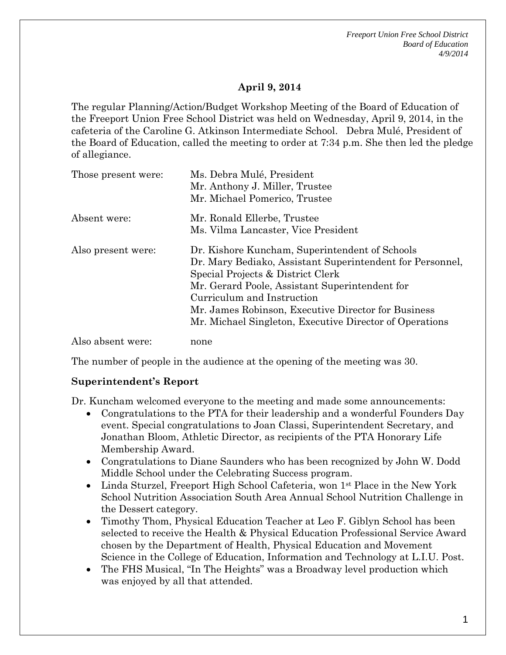*Freeport Union Free School District Board of Education 4/9/2014*

## **April 9, 2014**

The regular Planning/Action/Budget Workshop Meeting of the Board of Education of the Freeport Union Free School District was held on Wednesday, April 9, 2014, in the cafeteria of the Caroline G. Atkinson Intermediate School. Debra Mulé, President of the Board of Education, called the meeting to order at 7:34 p.m. She then led the pledge of allegiance.

| Those present were: | Ms. Debra Mulé, President<br>Mr. Anthony J. Miller, Trustee<br>Mr. Michael Pomerico, Trustee                                                                                                                                                                                                                                                       |
|---------------------|----------------------------------------------------------------------------------------------------------------------------------------------------------------------------------------------------------------------------------------------------------------------------------------------------------------------------------------------------|
| Absent were:        | Mr. Ronald Ellerbe, Trustee<br>Ms. Vilma Lancaster, Vice President                                                                                                                                                                                                                                                                                 |
| Also present were:  | Dr. Kishore Kuncham, Superintendent of Schools<br>Dr. Mary Bediako, Assistant Superintendent for Personnel,<br>Special Projects & District Clerk<br>Mr. Gerard Poole, Assistant Superintendent for<br>Curriculum and Instruction<br>Mr. James Robinson, Executive Director for Business<br>Mr. Michael Singleton, Executive Director of Operations |
| Also absent were:   | none                                                                                                                                                                                                                                                                                                                                               |

The number of people in the audience at the opening of the meeting was 30.

### **Superintendent's Report**

Dr. Kuncham welcomed everyone to the meeting and made some announcements:

- Congratulations to the PTA for their leadership and a wonderful Founders Day event. Special congratulations to Joan Classi, Superintendent Secretary, and Jonathan Bloom, Athletic Director, as recipients of the PTA Honorary Life Membership Award.
- Congratulations to Diane Saunders who has been recognized by John W. Dodd Middle School under the Celebrating Success program.
- Linda Sturzel, Freeport High School Cafeteria, won 1<sup>st</sup> Place in the New York School Nutrition Association South Area Annual School Nutrition Challenge in the Dessert category.
- Timothy Thom, Physical Education Teacher at Leo F. Giblyn School has been selected to receive the Health & Physical Education Professional Service Award chosen by the Department of Health, Physical Education and Movement Science in the College of Education, Information and Technology at L.I.U. Post.
- The FHS Musical, "In The Heights" was a Broadway level production which was enjoyed by all that attended.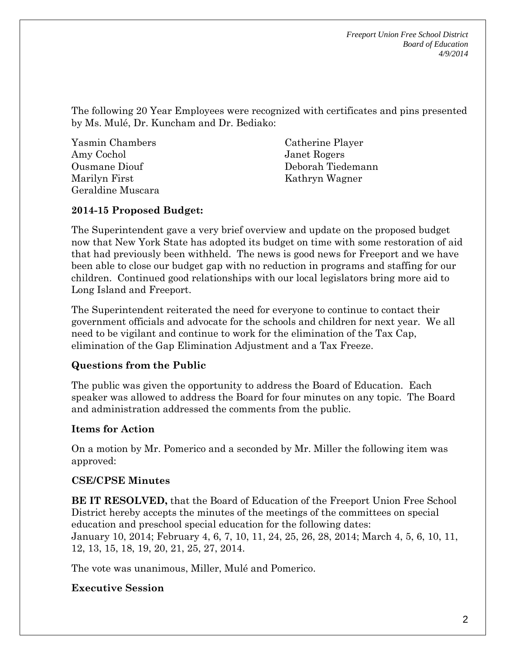*Freeport Union Free School District Board of Education 4/9/2014*

The following 20 Year Employees were recognized with certificates and pins presented by Ms. Mulé, Dr. Kuncham and Dr. Bediako:

Yasmin Chambers Amy Cochol Ousmane Diouf Marilyn First Geraldine Muscara

Catherine Player Janet Rogers Deborah Tiedemann Kathryn Wagner

## **2014-15 Proposed Budget:**

The Superintendent gave a very brief overview and update on the proposed budget now that New York State has adopted its budget on time with some restoration of aid that had previously been withheld. The news is good news for Freeport and we have been able to close our budget gap with no reduction in programs and staffing for our children. Continued good relationships with our local legislators bring more aid to Long Island and Freeport.

The Superintendent reiterated the need for everyone to continue to contact their government officials and advocate for the schools and children for next year. We all need to be vigilant and continue to work for the elimination of the Tax Cap, elimination of the Gap Elimination Adjustment and a Tax Freeze.

# **Questions from the Public**

The public was given the opportunity to address the Board of Education. Each speaker was allowed to address the Board for four minutes on any topic. The Board and administration addressed the comments from the public.

### **Items for Action**

On a motion by Mr. Pomerico and a seconded by Mr. Miller the following item was approved:

### **CSE/CPSE Minutes**

**BE IT RESOLVED,** that the Board of Education of the Freeport Union Free School District hereby accepts the minutes of the meetings of the committees on special education and preschool special education for the following dates: January 10, 2014; February 4, 6, 7, 10, 11, 24, 25, 26, 28, 2014; March 4, 5, 6, 10, 11, 12, 13, 15, 18, 19, 20, 21, 25, 27, 2014.

The vote was unanimous, Miller, Mulé and Pomerico.

# **Executive Session**